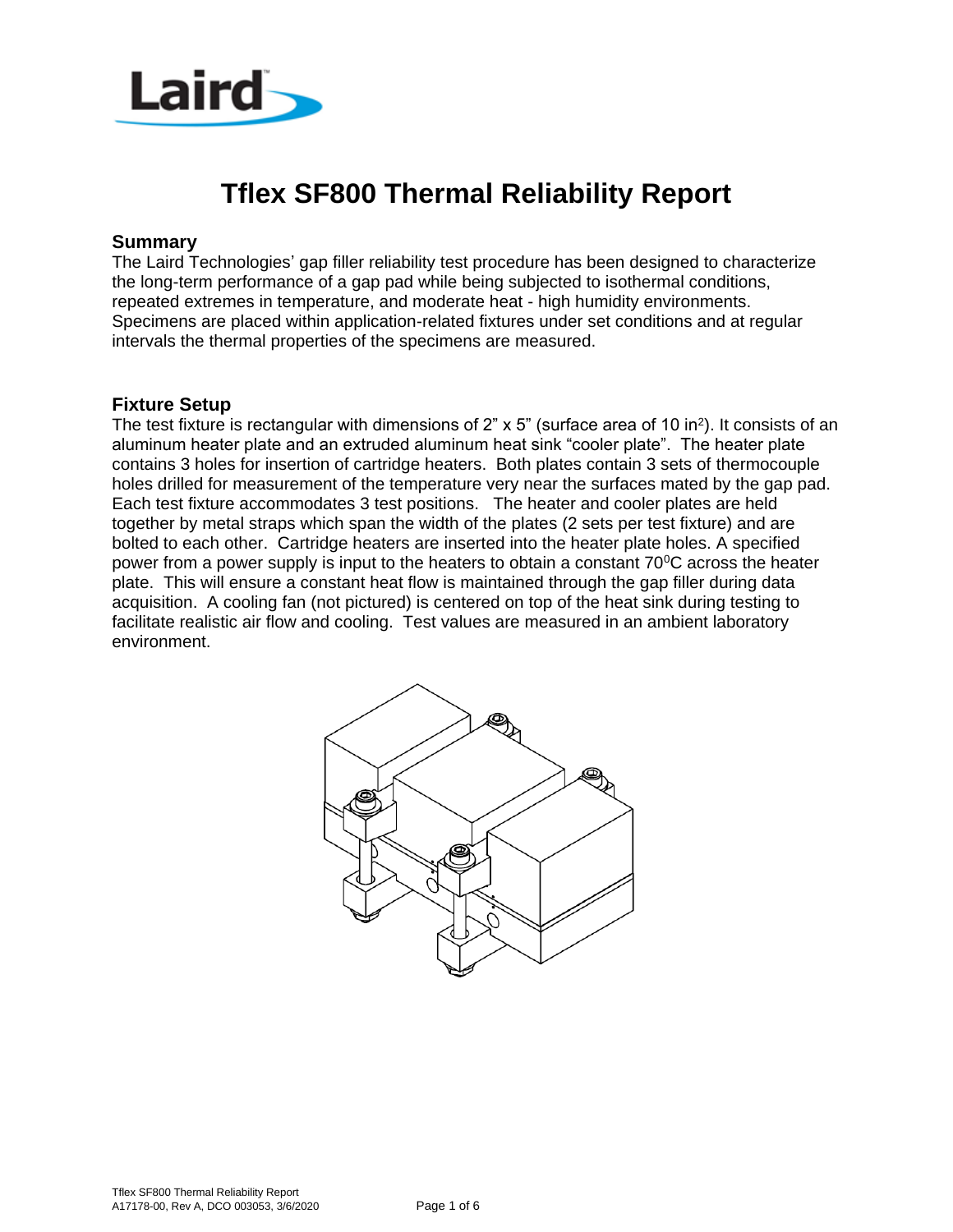

# **Tflex SF800 Thermal Reliability Report**

#### **Summary**

The Laird Technologies' gap filler reliability test procedure has been designed to characterize the long-term performance of a gap pad while being subjected to isothermal conditions, repeated extremes in temperature, and moderate heat - high humidity environments. Specimens are placed within application-related fixtures under set conditions and at regular intervals the thermal properties of the specimens are measured.

#### **Fixture Setup**

The test fixture is rectangular with dimensions of  $2$ " x  $5$ " (surface area of 10 in<sup>2</sup>). It consists of an aluminum heater plate and an extruded aluminum heat sink "cooler plate". The heater plate contains 3 holes for insertion of cartridge heaters. Both plates contain 3 sets of thermocouple holes drilled for measurement of the temperature very near the surfaces mated by the gap pad. Each test fixture accommodates 3 test positions. The heater and cooler plates are held together by metal straps which span the width of the plates (2 sets per test fixture) and are bolted to each other. Cartridge heaters are inserted into the heater plate holes. A specified power from a power supply is input to the heaters to obtain a constant  $70^{\circ}$ C across the heater plate. This will ensure a constant heat flow is maintained through the gap filler during data acquisition. A cooling fan (not pictured) is centered on top of the heat sink during testing to facilitate realistic air flow and cooling. Test values are measured in an ambient laboratory environment.

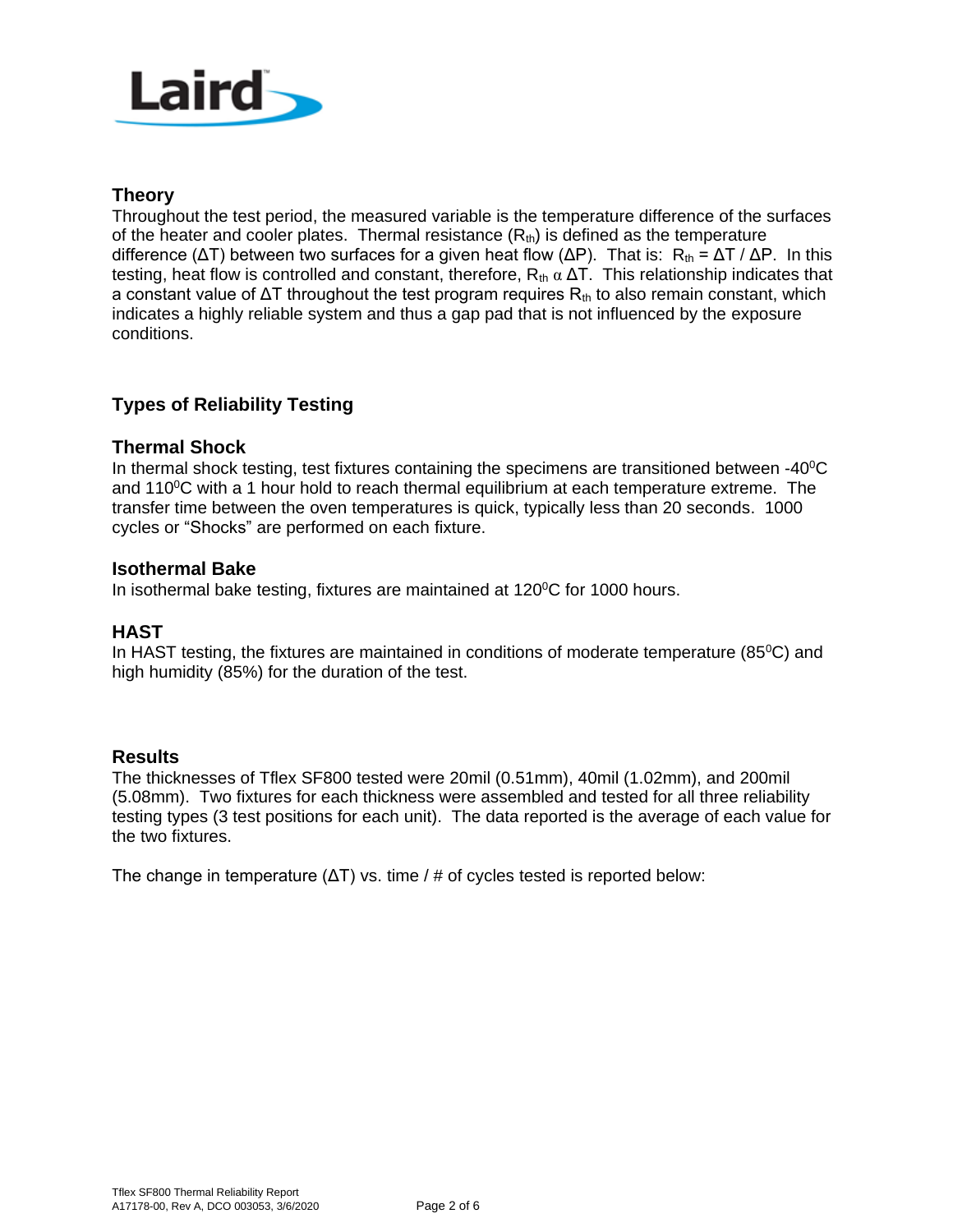

### **Theory**

Throughout the test period, the measured variable is the temperature difference of the surfaces of the heater and cooler plates. Thermal resistance  $(R<sub>th</sub>)$  is defined as the temperature difference ( $ΔT$ ) between two surfaces for a given heat flow ( $ΔP$ ). That is: R<sub>th</sub> =  $ΔT / ΔP$ . In this testing, heat flow is controlled and constant, therefore,  $R_{th} \alpha \Delta T$ . This relationship indicates that a constant value of  $\Delta T$  throughout the test program requires  $R_{th}$  to also remain constant, which indicates a highly reliable system and thus a gap pad that is not influenced by the exposure conditions.

## **Types of Reliability Testing**

#### **Thermal Shock**

In thermal shock testing, test fixtures containing the specimens are transitioned between  $-40^{\circ}$ C and  $110^{\circ}$ C with a 1 hour hold to reach thermal equilibrium at each temperature extreme. The transfer time between the oven temperatures is quick, typically less than 20 seconds. 1000 cycles or "Shocks" are performed on each fixture.

#### **Isothermal Bake**

In isothermal bake testing, fixtures are maintained at 120°C for 1000 hours.

### **HAST**

In HAST testing, the fixtures are maintained in conditions of moderate temperature ( $85^{\circ}$ C) and high humidity (85%) for the duration of the test.

#### **Results**

The thicknesses of Tflex SF800 tested were 20mil (0.51mm), 40mil (1.02mm), and 200mil (5.08mm). Two fixtures for each thickness were assembled and tested for all three reliability testing types (3 test positions for each unit). The data reported is the average of each value for the two fixtures.

The change in temperature  $(ΔT)$  vs. time / # of cycles tested is reported below: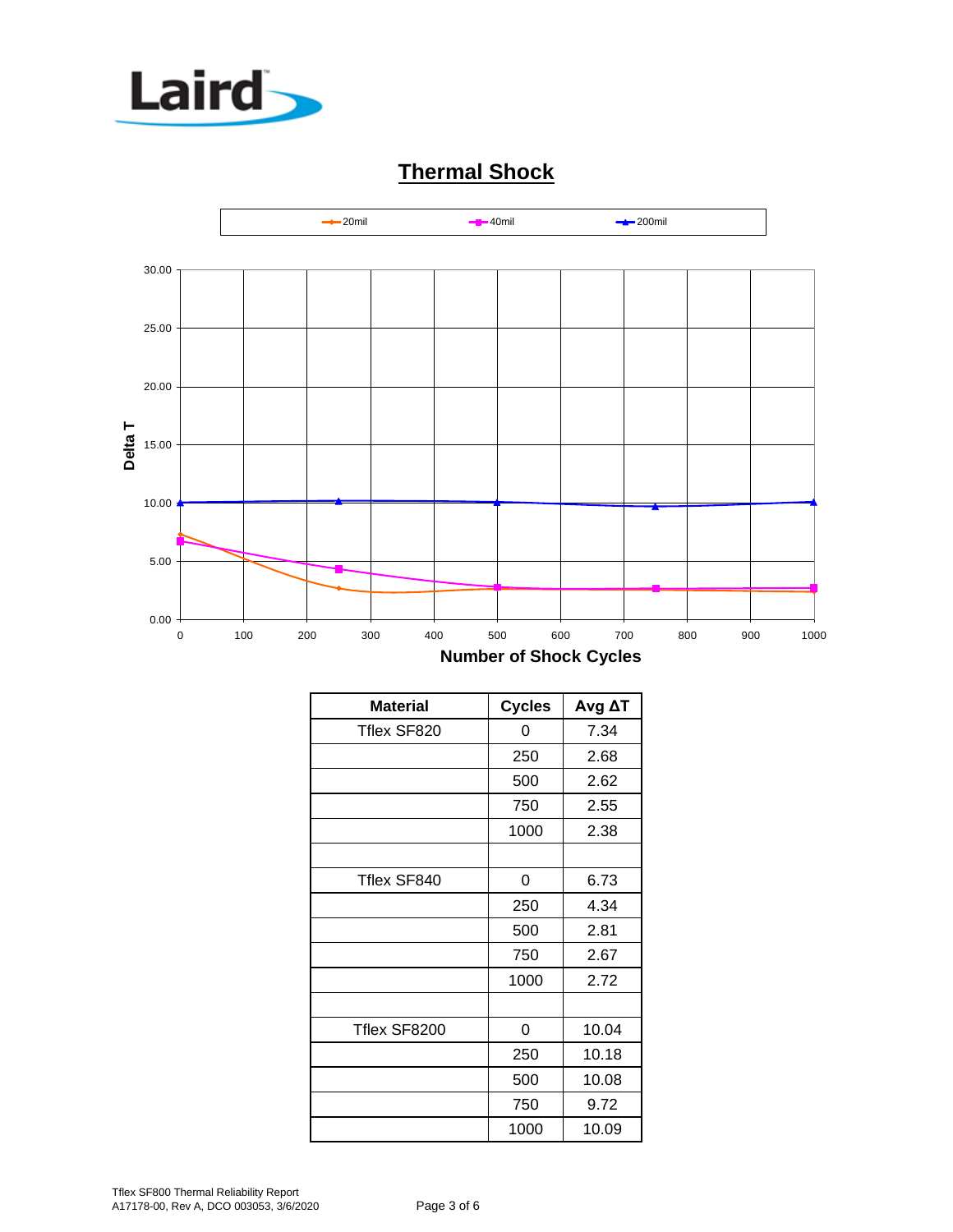

# **Thermal Shock**



| <b>Material</b> | <b>Cycles</b> | $Avg \Delta T$ |
|-----------------|---------------|----------------|
| Tflex SF820     | 0             | 7.34           |
|                 | 250           | 2.68           |
|                 | 500           | 2.62           |
|                 | 750           | 2.55           |
|                 | 1000          | 2.38           |
|                 |               |                |
| Tflex SF840     | 0             | 6.73           |
|                 | 250           | 4.34           |
|                 | 500           | 2.81           |
|                 | 750           | 2.67           |
|                 | 1000          | 2.72           |
|                 |               |                |
| Tflex SF8200    | 0             | 10.04          |
|                 | 250           | 10.18          |
|                 | 500           | 10.08          |
|                 | 750           | 9.72           |
|                 | 1000          | 10.09          |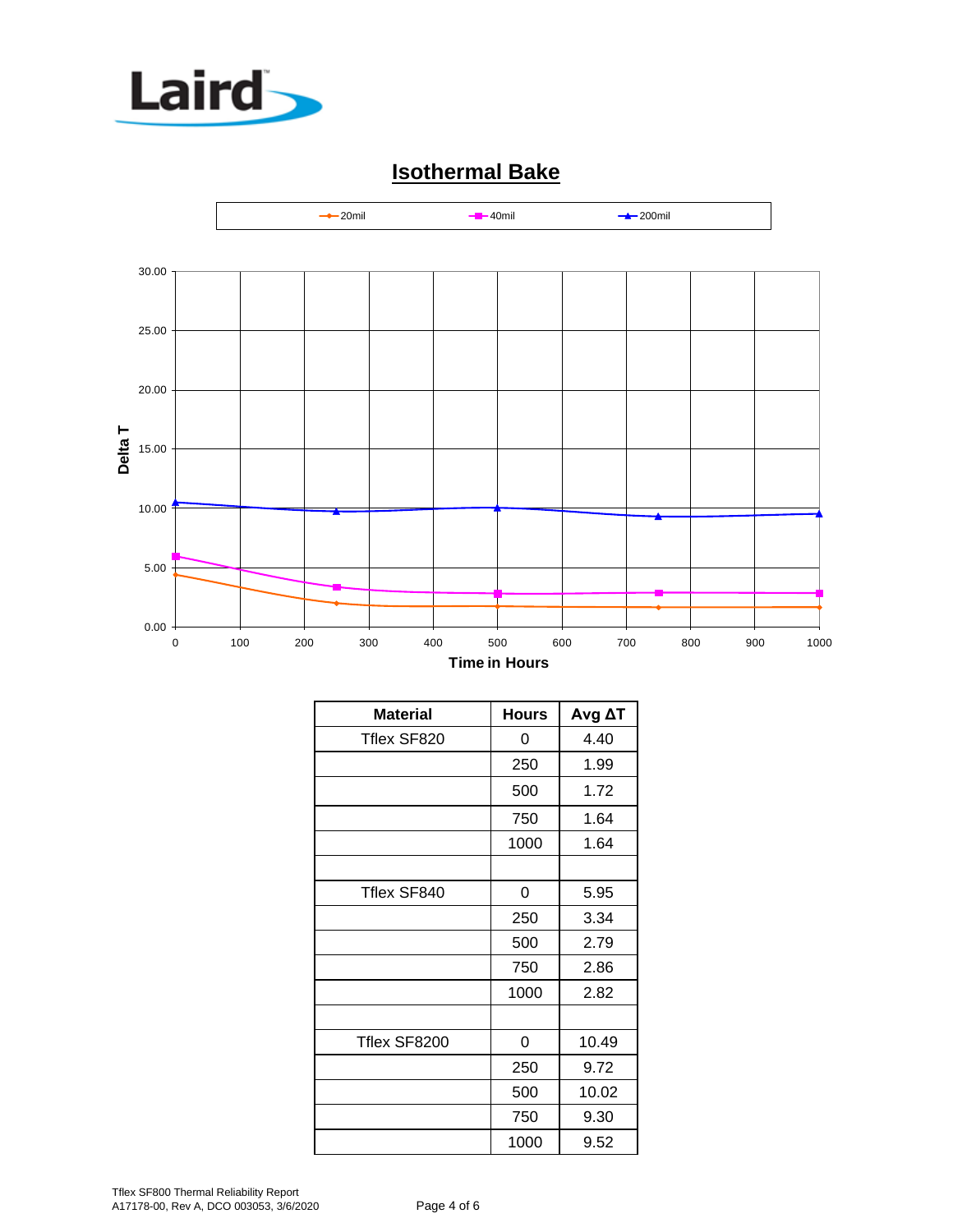

# **Isothermal Bake**



| <b>Material</b> | <b>Hours</b> | Avg AT |
|-----------------|--------------|--------|
| Tflex SF820     | 0            | 4.40   |
|                 | 250          | 1.99   |
|                 | 500          | 1.72   |
|                 | 750          | 1.64   |
|                 | 1000         | 1.64   |
|                 |              |        |
| Tflex SF840     | 0            | 5.95   |
|                 | 250          | 3.34   |
|                 | 500          | 2.79   |
|                 | 750          | 2.86   |
|                 | 1000         | 2.82   |
|                 |              |        |
| Tflex SF8200    | 0            | 10.49  |
|                 | 250          | 9.72   |
|                 | 500          | 10.02  |
|                 | 750          | 9.30   |
|                 | 1000         | 9.52   |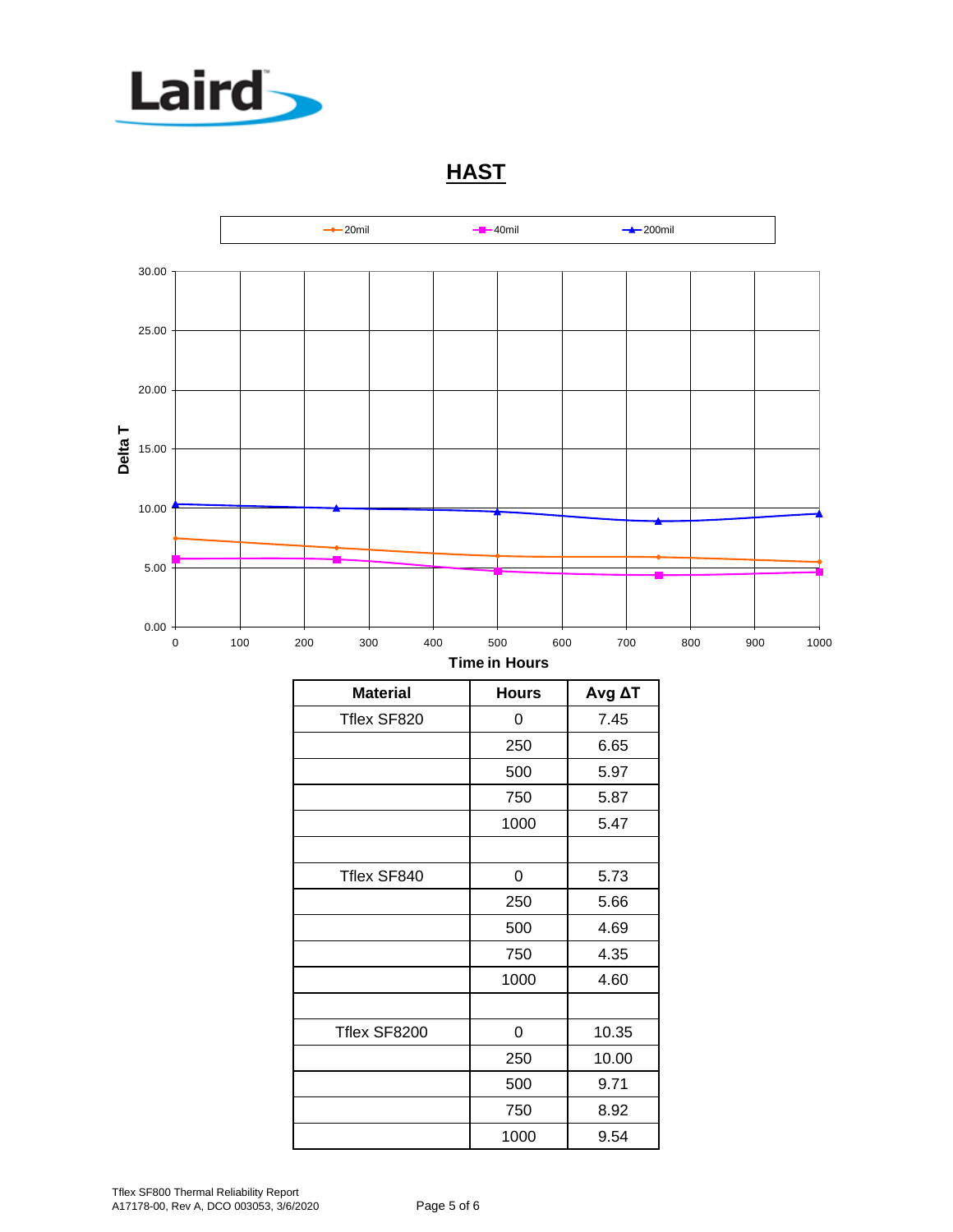

**HAST**